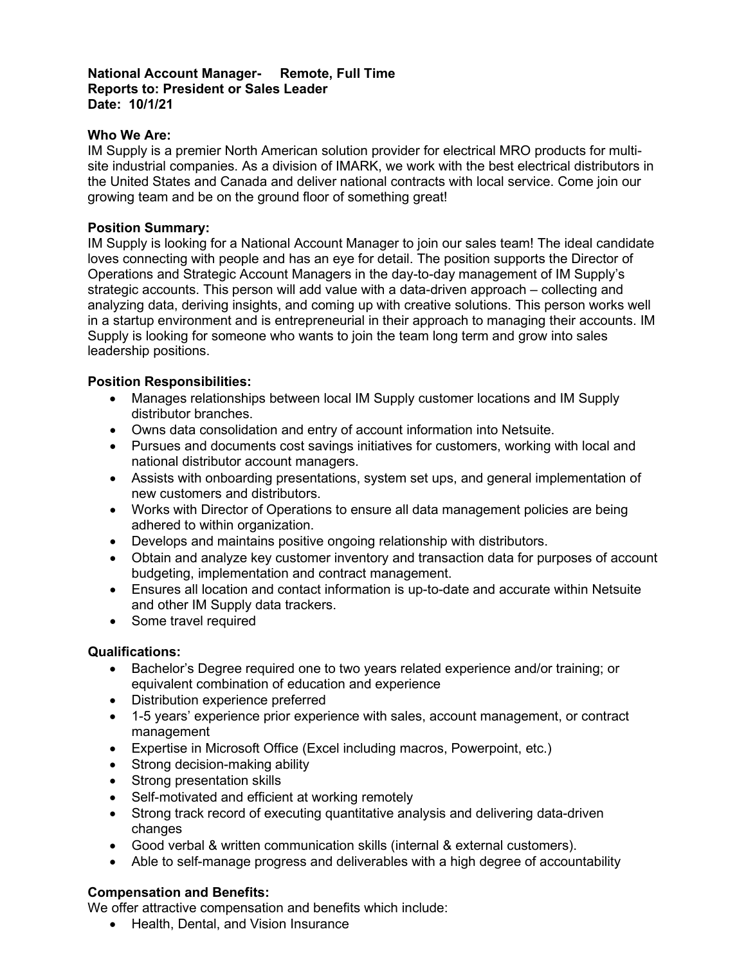## **National Account Manager- Remote, Full Time Reports to: President or Sales Leader Date: 10/1/21**

# **Who We Are:**

IM Supply is a premier North American solution provider for electrical MRO products for multisite industrial companies. As a division of IMARK, we work with the best electrical distributors in the United States and Canada and deliver national contracts with local service. Come join our growing team and be on the ground floor of something great!

### **Position Summary:**

IM Supply is looking for a National Account Manager to join our sales team! The ideal candidate loves connecting with people and has an eye for detail. The position supports the Director of Operations and Strategic Account Managers in the day-to-day management of IM Supply's strategic accounts. This person will add value with a data-driven approach – collecting and analyzing data, deriving insights, and coming up with creative solutions. This person works well in a startup environment and is entrepreneurial in their approach to managing their accounts. IM Supply is looking for someone who wants to join the team long term and grow into sales leadership positions.

## **Position Responsibilities:**

- Manages relationships between local IM Supply customer locations and IM Supply distributor branches.
- Owns data consolidation and entry of account information into Netsuite.
- Pursues and documents cost savings initiatives for customers, working with local and national distributor account managers.
- Assists with onboarding presentations, system set ups, and general implementation of new customers and distributors.
- Works with Director of Operations to ensure all data management policies are being adhered to within organization.
- Develops and maintains positive ongoing relationship with distributors.
- Obtain and analyze key customer inventory and transaction data for purposes of account budgeting, implementation and contract management.
- Ensures all location and contact information is up-to-date and accurate within Netsuite and other IM Supply data trackers.
- Some travel required

# **Qualifications:**

- Bachelor's Degree required one to two years related experience and/or training; or equivalent combination of education and experience
- Distribution experience preferred
- 1-5 years' experience prior experience with sales, account management, or contract management
- Expertise in Microsoft Office (Excel including macros, Powerpoint, etc.)
- Strong decision-making ability
- Strong presentation skills
- Self-motivated and efficient at working remotely
- Strong track record of executing quantitative analysis and delivering data-driven changes
- Good verbal & written communication skills (internal & external customers).
- Able to self-manage progress and deliverables with a high degree of accountability

#### **Compensation and Benefits:**

We offer attractive compensation and benefits which include:

• Health, Dental, and Vision Insurance